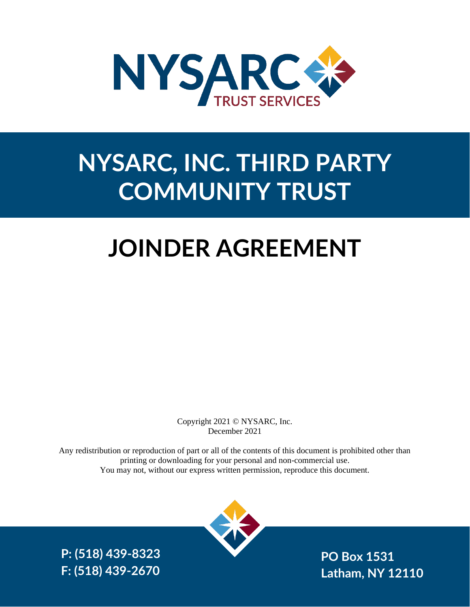

## **NYSARC, INC. THIRD PARTY COMMUNITY TRUST**

# **JOINDER AGREEMENT**

Copyright 2021 © NYSARC, Inc. December 2021

Any redistribution or reproduction of part or all of the contents of this document is prohibited other than printing or downloading for your personal and non-commercial use. You may not, without our express written permission, reproduce this document.



**P: (518) 439-8323**

NYSARC, Inc. Third Party Community Trust December 20, 2021 Page **1** of **12 F: (518) 439-2670PO Box 1531 Latham, NY 12110**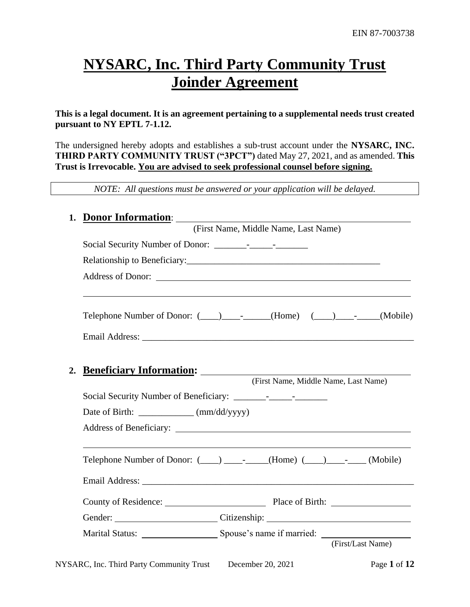## **NYSARC, Inc. Third Party Community Trust Joinder Agreement**

**This is a legal document. It is an agreement pertaining to a supplemental needs trust created pursuant to NY EPTL 7-1.12.** 

The undersigned hereby adopts and establishes a sub-trust account under the **NYSARC, INC. THIRD PARTY COMMUNITY TRUST ("3PCT")** dated May 27, 2021, and as amended. **This Trust is Irrevocable. You are advised to seek professional counsel before signing.**

*NOTE: All questions must be answered or your application will be delayed.*

| 1. | <b>Donor Information:</b>                                                                                                                                |  |  |
|----|----------------------------------------------------------------------------------------------------------------------------------------------------------|--|--|
|    | (First Name, Middle Name, Last Name)                                                                                                                     |  |  |
|    |                                                                                                                                                          |  |  |
|    |                                                                                                                                                          |  |  |
|    |                                                                                                                                                          |  |  |
|    | Telephone Number of Donor: $(\_\_\_\_\_\_$ - $(\_\_\_$ (Home) $(\_\_\_\_\_\_$ - $(\_\_\_\_\_$ (Mobile)                                                   |  |  |
|    |                                                                                                                                                          |  |  |
| 2. | Beneficiary Information: 2008 2010 2021 2022 2023 2024 2022 2023 2024 2022 2023 2024 2022 2023 2024 2025 2026 20<br>(First Name, Middle Name, Last Name) |  |  |
|    |                                                                                                                                                          |  |  |
|    | Date of Birth: ____________ (mm/dd/yyyy)                                                                                                                 |  |  |
|    |                                                                                                                                                          |  |  |
|    |                                                                                                                                                          |  |  |
|    | Telephone Number of Donor: (____) _________(Home) (___) _______(Mobile)                                                                                  |  |  |
|    |                                                                                                                                                          |  |  |
|    |                                                                                                                                                          |  |  |
|    | Gender: Citizenship: Citizenship:                                                                                                                        |  |  |
|    |                                                                                                                                                          |  |  |
|    | (First/Last Name)                                                                                                                                        |  |  |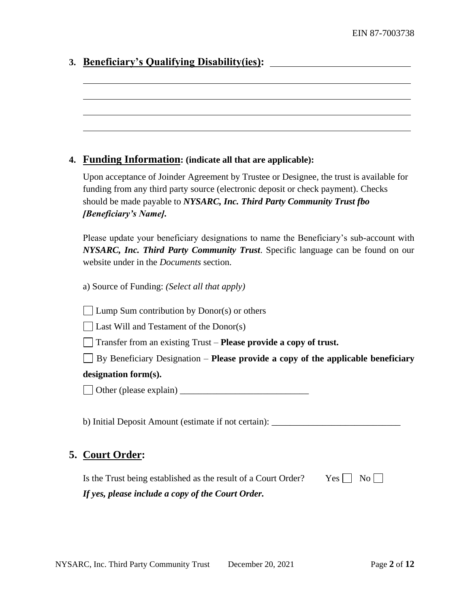|  | 3. Beneficiary's Qualifying Disability(ies): |
|--|----------------------------------------------|
|  |                                              |

#### **4. Funding Information: (indicate all that are applicable):**

Upon acceptance of Joinder Agreement by Trustee or Designee, the trust is available for funding from any third party source (electronic deposit or check payment). Checks should be made payable to *NYSARC, Inc. Third Party Community Trust fbo [Beneficiary's Name].*

Please update your beneficiary designations to name the Beneficiary's sub-account with *NYSARC, Inc. Third Party Community Trust*. Specific language can be found on our website under in the *Documents* section.

a) Source of Funding: *(Select all that apply)*

**Lump Sum contribution by Donor(s) or others** 

 $\Box$  Last Will and Testament of the Donor(s)

Transfer from an existing Trust – **Please provide a copy of trust.**

By Beneficiary Designation – **Please provide a copy of the applicable beneficiary** 

#### **designation form(s).**

Other (please explain) \_\_\_\_\_\_\_\_\_\_\_\_\_\_\_\_\_\_\_\_\_\_\_\_\_\_\_\_

b) Initial Deposit Amount (estimate if not certain): \_\_\_\_\_\_\_\_\_\_\_\_\_\_\_\_\_\_\_\_\_\_\_\_\_\_\_

## **5. Court Order:**

| Is the Trust being established as the result of a Court Order? | $Yes \Box No \Box$ |
|----------------------------------------------------------------|--------------------|
| If yes, please include a copy of the Court Order.              |                    |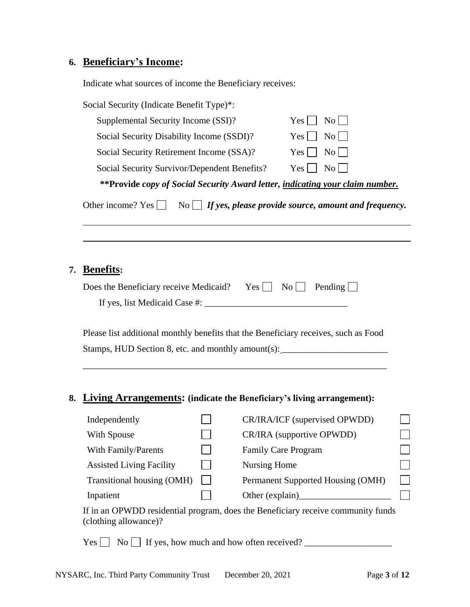## **6. Beneficiary's Income:**

Indicate what sources of income the Beneficiary receives:

| Social Security (Indicate Benefit Type)*:                                     |                                                                |
|-------------------------------------------------------------------------------|----------------------------------------------------------------|
| Supplemental Security Income (SSI)?                                           | $\mathrm{No}$    <br>Yes                                       |
| Social Security Disability Income (SSDI)?                                     | $\mathrm{No}$    <br>Yes                                       |
| Social Security Retirement Income (SSA)?                                      | Yes $\lfloor$<br>$\mathrm{No}$                                 |
| Social Security Survivor/Dependent Benefits?                                  | Yes  <br>$\rm{No}$                                             |
| **Provide copy of Social Security Award letter, indicating your claim number. |                                                                |
| Other income? Yes                                                             | No $\Box$ If yes, please provide source, amount and frequency. |

### **7. Benefits:**

| Does the Beneficiary receive Medicaid? Yes $\Box$ No $\Box$ Pending $\Box$ |  |  |
|----------------------------------------------------------------------------|--|--|
| If yes, list Medicaid Case #:                                              |  |  |

Please list additional monthly benefits that the Beneficiary receives, such as Food Stamps, HUD Section 8, etc. and monthly amount(s): \_\_\_\_\_\_\_\_\_\_\_\_\_\_\_\_\_\_\_\_\_\_\_\_\_\_\_\_\_\_

\_\_\_\_\_\_\_\_\_\_\_\_\_\_\_\_\_\_\_\_\_\_\_\_\_\_\_\_\_\_\_\_\_\_\_\_\_\_\_\_\_\_\_\_\_\_\_\_\_\_\_\_\_\_\_\_\_\_\_\_\_\_\_\_\_\_

## **8. Living Arrangements: (indicate the Beneficiary's living arrangement):**

| Independently                   | CR/IRA/ICF (supervised OPWDD)     |  |
|---------------------------------|-----------------------------------|--|
| With Spouse                     | CR/IRA (supportive OPWDD)         |  |
| With Family/Parents             | <b>Family Care Program</b>        |  |
| <b>Assisted Living Facility</b> | Nursing Home                      |  |
| Transitional housing (OMH)      | Permanent Supported Housing (OMH) |  |
| Inpatient                       | Other (explain)                   |  |

If in an OPWDD residential program, does the Beneficiary receive community funds (clothing allowance)?

 $Yes \fbox{or} \fbox{or} \fbox{or} \fbox{or} \fbox{or} \fbox{or} \fbox{or} \fbox{or} \fbox{or} \fbox{or} \fbox{or} \fbox{or} \fbox{or} \fbox{or} \fbox{or} \fbox{or} \fbox{or} \fbox{or} \fbox{or} \fbox{or} \fbox{or} \fbox{or} \fbox{or} \fbox{or} \fbox{or} \fbox{or} \fbox{or} \fbox{or} \fbox{or} \fbox{or} \fbox{or} \fbox{or} \fbox{or} \fbox{or} \fbox{or} \fbox{or} \fbox$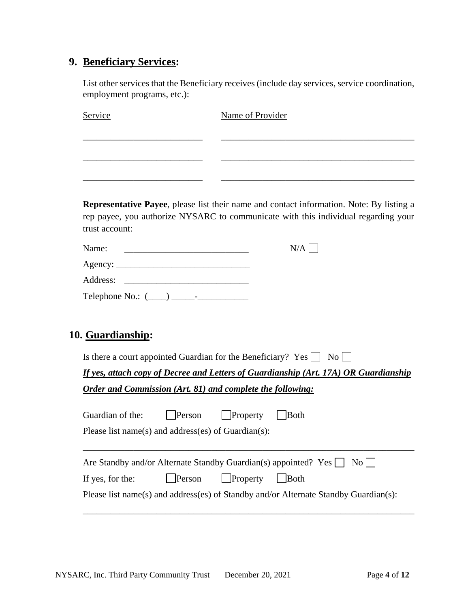## **9. Beneficiary Services:**

List other services that the Beneficiary receives (include day services, service coordination, employment programs, etc.):

| Service | Name of Provider |
|---------|------------------|
|         |                  |
|         |                  |
|         |                  |
|         |                  |

**Representative Payee**, please list their name and contact information. Note: By listing a rep payee, you authorize NYSARC to communicate with this individual regarding your trust account:

| Name:                                                   | N/A |
|---------------------------------------------------------|-----|
|                                                         |     |
| Address:                                                |     |
| Telephone No.: $(\_\_)$<br>$\qquad \qquad \blacksquare$ |     |

## **10. Guardianship:**

Is there a court appointed Guardian for the Beneficiary? Yes  $\Box$  No  $\Box$ 

*If yes, attach copy of Decree and Letters of Guardianship (Art. 17A) OR Guardianship Order and Commission (Art. 81) and complete the following:*

| Guardian of the:                                    | Person         | $\vert$ Property | <b>Both</b>                                                                          |  |
|-----------------------------------------------------|----------------|------------------|--------------------------------------------------------------------------------------|--|
| Please list name(s) and address(es) of Guardian(s): |                |                  |                                                                                      |  |
|                                                     |                |                  | Are Standby and/or Alternate Standby Guardian(s) appointed? Yes $\Box$ No $\Box$     |  |
| If yes, for the:                                    | $\vert$ Person | $\vert$ Property | <b>Both</b>                                                                          |  |
|                                                     |                |                  | Please list name(s) and address(es) of Standby and/or Alternate Standby Guardian(s): |  |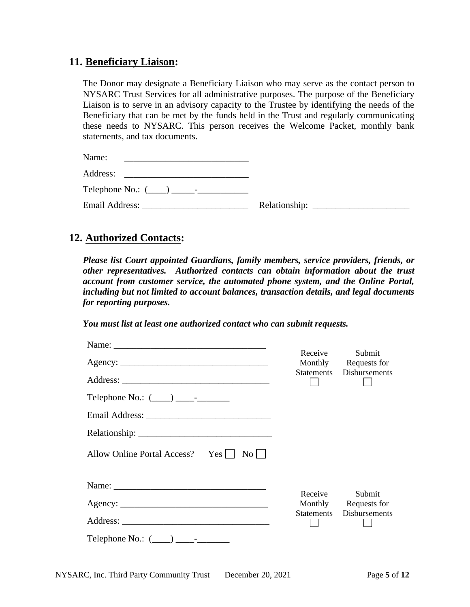### **11. Beneficiary Liaison:**

The Donor may designate a Beneficiary Liaison who may serve as the contact person to NYSARC Trust Services for all administrative purposes. The purpose of the Beneficiary Liaison is to serve in an advisory capacity to the Trustee by identifying the needs of the Beneficiary that can be met by the funds held in the Trust and regularly communicating these needs to NYSARC. This person receives the Welcome Packet, monthly bank statements, and tax documents.

| Name:<br><u> 1980 - Jan Barbara, martin da kasar Amerikaan kasar Indonesia.</u>                                                                                                                                                |  |
|--------------------------------------------------------------------------------------------------------------------------------------------------------------------------------------------------------------------------------|--|
| Address:                                                                                                                                                                                                                       |  |
| Telephone No.: $(\_\_\_\_\_\_\_\_$                                                                                                                                                                                             |  |
| Email Address: No. 1996. The Second Second Second Second Second Second Second Second Second Second Second Second Second Second Second Second Second Second Second Second Second Second Second Second Second Second Second Seco |  |

## **12. Authorized Contacts:**

*Please list Court appointed Guardians, family members, service providers, friends, or other representatives. Authorized contacts can obtain information about the trust account from customer service, the automated phone system, and the Online Portal, including but not limited to account balances, transaction details, and legal documents for reporting purposes.* 

*You must list at least one authorized contact who can submit requests.*

|                                                      | Receive<br>Monthly | Submit<br>Requests for   |
|------------------------------------------------------|--------------------|--------------------------|
|                                                      |                    | Statements Disbursements |
| Telephone No.: $(\_\_\_\_\_\_\_\_\_\$                |                    |                          |
|                                                      |                    |                          |
|                                                      |                    |                          |
| Allow Online Portal Access? Yes    <br>$\mathrm{No}$ |                    |                          |
|                                                      | Receive            | Submit                   |
|                                                      | Monthly            | Requests for             |
|                                                      | Statements         | Disbursements            |
| Telephone No.: $(\_\_\_\_\_\_\_\_\_$                 |                    |                          |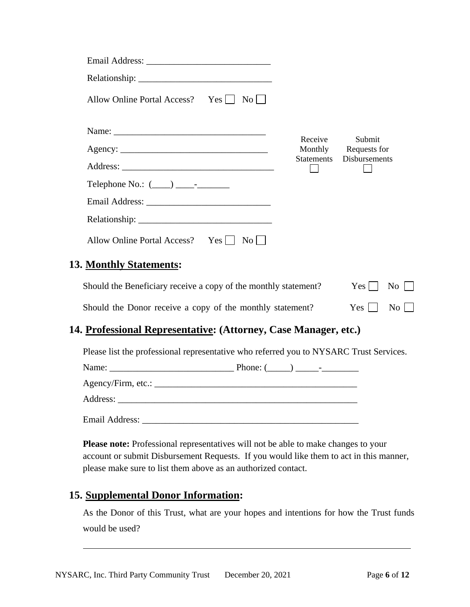| Allow Online Portal Access? Yes<br>$\overline{N_0}$ |         |                                |
|-----------------------------------------------------|---------|--------------------------------|
|                                                     |         |                                |
| Agency:                                             | Receive | Submit<br>Monthly Requests for |
|                                                     |         | Statements Disbursements       |
| Telephone No.: $(\_\_\_\_\_\_\_\_\_\_$              |         |                                |
|                                                     |         |                                |
|                                                     |         |                                |
| Allow Online Portal Access? Yes    <br>$\rm{No}$    |         |                                |
| <b>Monthly Statements:</b>                          |         |                                |

| Should the Beneficiary receive a copy of the monthly statement? | $Yes \Box No \Box$ |  |
|-----------------------------------------------------------------|--------------------|--|
| Should the Donor receive a copy of the monthly statement?       | $Yes \Box No \Box$ |  |

## **14. Professional Representative: (Attorney, Case Manager, etc.)**

Please list the professional representative who referred you to NYSARC Trust Services.

| Email Address: __ |  |
|-------------------|--|

**Please note:** Professional representatives will not be able to make changes to your account or submit Disbursement Requests. If you would like them to act in this manner, please make sure to list them above as an authorized contact.

## **15. Supplemental Donor Information:**

**13.** 

As the Donor of this Trust, what are your hopes and intentions for how the Trust funds would be used?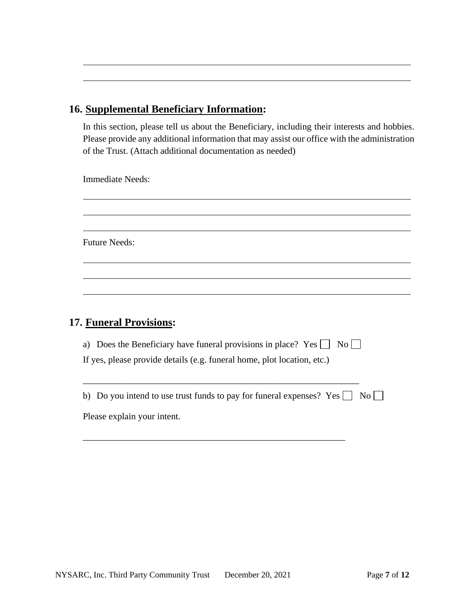## **16. Supplemental Beneficiary Information:**

In this section, please tell us about the Beneficiary, including their interests and hobbies. Please provide any additional information that may assist our office with the administration of the Trust. (Attach additional documentation as needed)

Immediate Needs:

Future Needs:

## **17. Funeral Provisions:**

| a) Does the Beneficiary have funeral provisions in place? Yes<br>$\overline{N_0}$     |
|---------------------------------------------------------------------------------------|
| If yes, please provide details (e.g. funeral home, plot location, etc.)               |
|                                                                                       |
|                                                                                       |
|                                                                                       |
| b) Do you intend to use trust funds to pay for funeral expenses? Yes $\Box$ No $\Box$ |

\_\_\_\_\_\_\_\_\_\_\_\_\_\_\_\_\_\_\_\_\_\_\_\_\_\_\_\_\_\_\_\_\_\_\_\_\_\_\_\_\_\_\_\_\_\_\_\_\_\_\_\_\_\_\_\_\_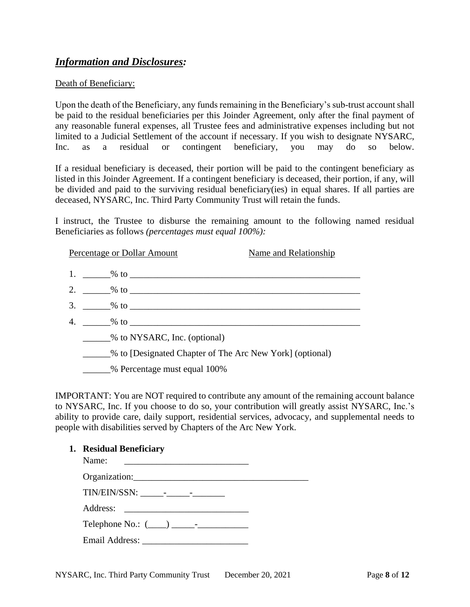## *Information and Disclosures:*

#### Death of Beneficiary:

Upon the death of the Beneficiary, any funds remaining in the Beneficiary's sub-trust account shall be paid to the residual beneficiaries per this Joinder Agreement, only after the final payment of any reasonable funeral expenses, all Trustee fees and administrative expenses including but not limited to a Judicial Settlement of the account if necessary. If you wish to designate NYSARC, Inc. as a residual or contingent beneficiary, you may do so below.

If a residual beneficiary is deceased, their portion will be paid to the contingent beneficiary as listed in this Joinder Agreement. If a contingent beneficiary is deceased, their portion, if any, will be divided and paid to the surviving residual beneficiary(ies) in equal shares. If all parties are deceased, NYSARC, Inc. Third Party Community Trust will retain the funds.

I instruct, the Trustee to disburse the remaining amount to the following named residual Beneficiaries as follows *(percentages must equal 100%):*

|    | Percentage or Dollar Amount                              | Name and Relationship |
|----|----------------------------------------------------------|-----------------------|
|    | 1. $\frac{9}{10}$ to $\frac{1}{10}$                      |                       |
|    | 2. $\frac{96}{10}$ to $\frac{1}{10}$                     |                       |
| 3. |                                                          |                       |
| 4. |                                                          |                       |
|    | % to NYSARC, Inc. (optional)                             |                       |
|    | % to [Designated Chapter of The Arc New York] (optional) |                       |
|    | % Percentage must equal 100%                             |                       |

IMPORTANT: You are NOT required to contribute any amount of the remaining account balance to NYSARC, Inc. If you choose to do so, your contribution will greatly assist NYSARC, Inc.'s ability to provide care, daily support, residential services, advocacy, and supplemental needs to people with disabilities served by Chapters of the Arc New York.

#### **1. Residual Beneficiary**

| Name: |  |
|-------|--|
|       |  |
|       |  |
|       |  |
|       |  |
|       |  |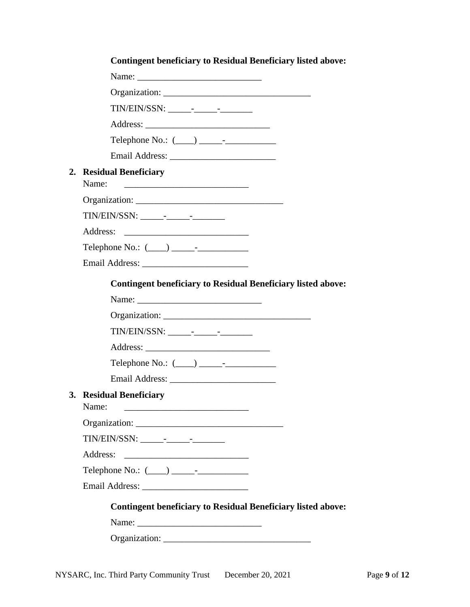| <b>Contingent beneficiary to Residual Beneficiary listed above:</b>                 |  |
|-------------------------------------------------------------------------------------|--|
|                                                                                     |  |
|                                                                                     |  |
|                                                                                     |  |
|                                                                                     |  |
| Telephone No.: $(\_\_\_\_\_\_\_\_\$                                                 |  |
|                                                                                     |  |
| 2. Residual Beneficiary<br>Name:<br><u> 1980 - Johann John Stone, mars et al. (</u> |  |
|                                                                                     |  |
|                                                                                     |  |
| Address:                                                                            |  |
|                                                                                     |  |
|                                                                                     |  |
| <b>Contingent beneficiary to Residual Beneficiary listed above:</b>                 |  |
|                                                                                     |  |
| Name:                                                                               |  |
|                                                                                     |  |
|                                                                                     |  |
|                                                                                     |  |
| Telephone No.: $(\_\_\_\_\_\_\_\_\$                                                 |  |
|                                                                                     |  |
| 3. Residual Beneficiary<br>Name:                                                    |  |
|                                                                                     |  |
|                                                                                     |  |
| Address:                                                                            |  |
|                                                                                     |  |
|                                                                                     |  |
|                                                                                     |  |
| <b>Contingent beneficiary to Residual Beneficiary listed above:</b>                 |  |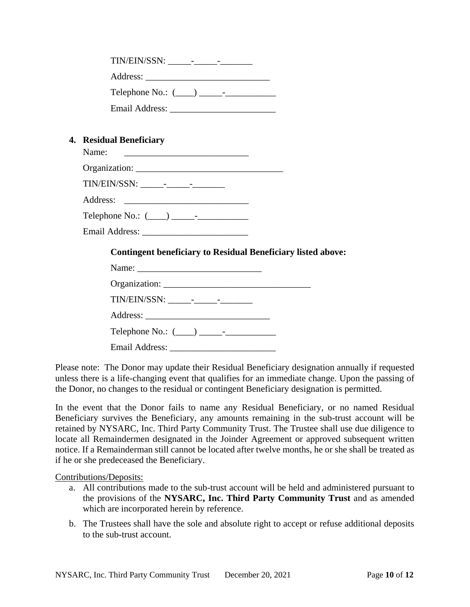| Telephone No.: $(\_\_\_\_\_\_\_\$ -                                                                                                                        |
|------------------------------------------------------------------------------------------------------------------------------------------------------------|
|                                                                                                                                                            |
|                                                                                                                                                            |
| 4. Residual Beneficiary<br>Name:<br><u> 1986 - Johann Stein, fransk kampens og det forskellige og det forskellige og det forskellige og det forskellig</u> |
|                                                                                                                                                            |
|                                                                                                                                                            |

Telephone No.:  $(\_\_\_\_\_\_\_$ 

Email Address:

#### **Contingent beneficiary to Residual Beneficiary listed above:**

| Telephone No.: $(\_\_\_\_\_\_\_\_\_$ |  |
|--------------------------------------|--|
|                                      |  |

Please note: The Donor may update their Residual Beneficiary designation annually if requested unless there is a life-changing event that qualifies for an immediate change. Upon the passing of the Donor, no changes to the residual or contingent Beneficiary designation is permitted.

In the event that the Donor fails to name any Residual Beneficiary, or no named Residual Beneficiary survives the Beneficiary, any amounts remaining in the sub-trust account will be retained by NYSARC, Inc. Third Party Community Trust. The Trustee shall use due diligence to locate all Remaindermen designated in the Joinder Agreement or approved subsequent written notice. If a Remainderman still cannot be located after twelve months, he or she shall be treated as if he or she predeceased the Beneficiary.

#### Contributions/Deposits:

- a. All contributions made to the sub-trust account will be held and administered pursuant to the provisions of the **NYSARC, Inc. Third Party Community Trust** and as amended which are incorporated herein by reference.
- b. The Trustees shall have the sole and absolute right to accept or refuse additional deposits to the sub-trust account.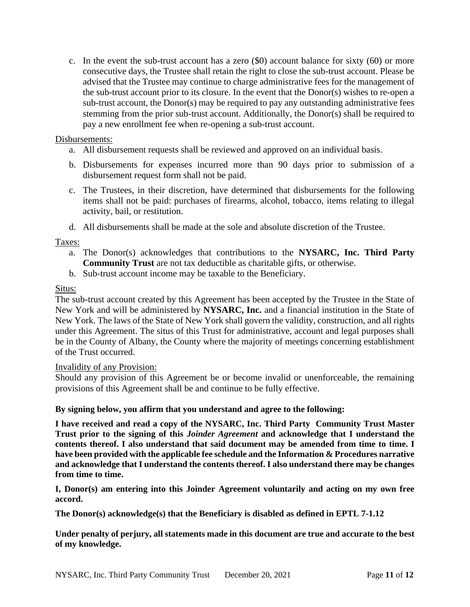c. In the event the sub-trust account has a zero (\$0) account balance for sixty (60) or more consecutive days, the Trustee shall retain the right to close the sub-trust account. Please be advised that the Trustee may continue to charge administrative fees for the management of the sub-trust account prior to its closure. In the event that the Donor(s) wishes to re-open a sub-trust account, the Donor(s) may be required to pay any outstanding administrative fees stemming from the prior sub-trust account. Additionally, the Donor(s) shall be required to pay a new enrollment fee when re-opening a sub-trust account.

#### Disbursements:

- a. All disbursement requests shall be reviewed and approved on an individual basis.
- b. Disbursements for expenses incurred more than 90 days prior to submission of a disbursement request form shall not be paid.
- c. The Trustees, in their discretion, have determined that disbursements for the following items shall not be paid: purchases of firearms, alcohol, tobacco, items relating to illegal activity, bail, or restitution.
- d. All disbursements shall be made at the sole and absolute discretion of the Trustee.

#### Taxes:

- a. The Donor(s) acknowledges that contributions to the **NYSARC, Inc. Third Party Community Trust** are not tax deductible as charitable gifts, or otherwise.
- b. Sub-trust account income may be taxable to the Beneficiary.

#### Situs:

The sub-trust account created by this Agreement has been accepted by the Trustee in the State of New York and will be administered by **NYSARC, Inc.** and a financial institution in the State of New York. The laws of the State of New York shall govern the validity, construction, and all rights under this Agreement. The situs of this Trust for administrative, account and legal purposes shall be in the County of Albany, the County where the majority of meetings concerning establishment of the Trust occurred.

#### Invalidity of any Provision:

Should any provision of this Agreement be or become invalid or unenforceable, the remaining provisions of this Agreement shall be and continue to be fully effective.

#### **By signing below, you affirm that you understand and agree to the following:**

**I have received and read a copy of the NYSARC, Inc. Third Party Community Trust Master Trust prior to the signing of this** *Joinder Agreement* **and acknowledge that I understand the contents thereof. I also understand that said document may be amended from time to time. I have been provided with the applicable fee schedule and the Information & Procedures narrative and acknowledge that I understand the contents thereof. I also understand there may be changes from time to time.**

**I, Donor(s) am entering into this Joinder Agreement voluntarily and acting on my own free accord.**

**The Donor(s) acknowledge(s) that the Beneficiary is disabled as defined in EPTL 7-1.12**

**Under penalty of perjury, all statements made in this document are true and accurate to the best of my knowledge.**